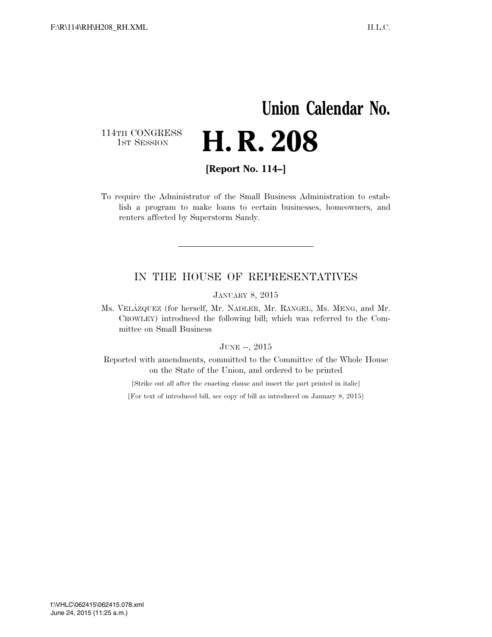## **Union Calendar No.**  114TH CONGRESS<br>1st Session H. R. 208

**[Report No. 114–]** 

To require the Administrator of the Small Business Administration to establish a program to make loans to certain businesses, homeowners, and renters affected by Superstorm Sandy.

#### IN THE HOUSE OF REPRESENTATIVES

JANUARY 8, 2015

Ms. VELA´ZQUEZ (for herself, Mr. NADLER, Mr. RANGEL, Ms. MENG, and Mr. CROWLEY) introduced the following bill; which was referred to the Committee on Small Business

#### JUNE --, 2015

Reported with amendments, committed to the Committee of the Whole House on the State of the Union, and ordered to be printed

[Strike out all after the enacting clause and insert the part printed in italic]

[For text of introduced bill, see copy of bill as introduced on January 8, 2015]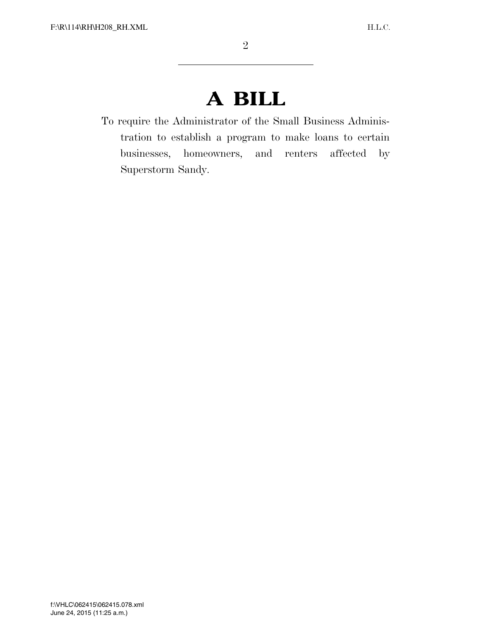# **A BILL**

To require the Administrator of the Small Business Administration to establish a program to make loans to certain businesses, homeowners, and renters affected by Superstorm Sandy.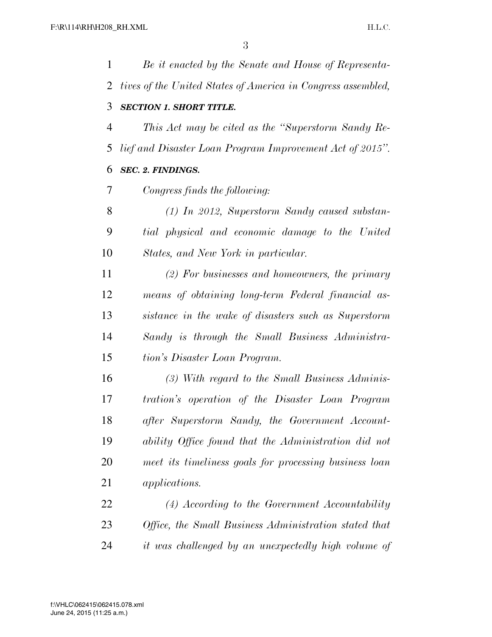| 1  | Be it enacted by the Senate and House of Representa-         |
|----|--------------------------------------------------------------|
| 2  | tives of the United States of America in Congress assembled, |
| 3  | <b>SECTION 1. SHORT TITLE.</b>                               |
| 4  | This Act may be cited as the "Superstorm Sandy Re-           |
| 5  | lief and Disaster Loan Program Improvement Act of 2015".     |
| 6  | <b>SEC. 2. FINDINGS.</b>                                     |
| 7  | Congress finds the following:                                |
| 8  | $(1)$ In 2012, Superstorm Sandy caused substan-              |
| 9  | tial physical and economic damage to the United              |
| 10 | States, and New York in particular.                          |
| 11 | $(2)$ For businesses and homeowners, the primary             |
| 12 | means of obtaining long-term Federal financial as-           |
| 13 | sistance in the wake of disasters such as Superstorm         |
| 14 | Sandy is through the Small Business Administra-              |
| 15 | tion's Disaster Loan Program.                                |
| 16 | $(3)$ With regard to the Small Business Adminis-             |
| 17 | tration's operation of the Disaster Loan Program             |
| 18 | after Superstorm Sandy, the Government Account-              |
| 19 | ability Office found that the Administration did not         |
| 20 | meet its timeliness goals for processing business loan       |
| 21 | <i>applications.</i>                                         |
| 22 | $(4) According to the Government Accountability$             |
| 23 | Office, the Small Business Administration stated that        |
| 24 | it was challenged by an unexpectedly high volume of          |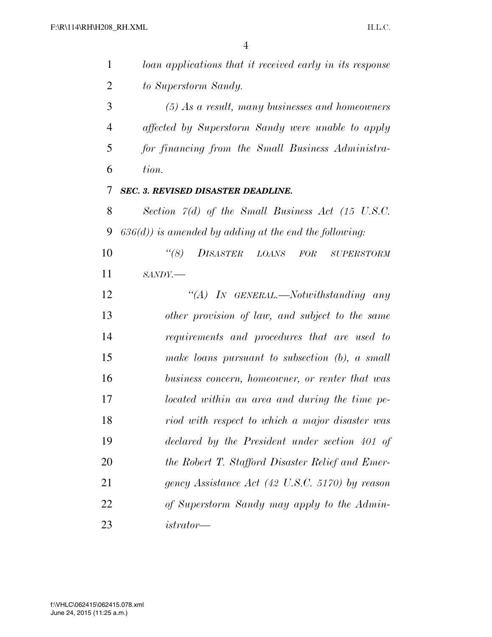| $\mathbf{1}$   | loan applications that it received early in its response   |
|----------------|------------------------------------------------------------|
| $\overline{2}$ | to Superstorm Sandy.                                       |
| 3              | $(5)$ As a result, many businesses and homeowners          |
| $\overline{4}$ | affected by Superstorm Sandy were unable to apply          |
| 5              | for financing from the Small Business Administra-          |
| 6              | tion.                                                      |
| 7              | <b>SEC. 3. REVISED DISASTER DEADLINE.</b>                  |
| 8              | Section $\ddot{z}(d)$ of the Small Business Act (15 U.S.C. |
| 9              | $(636(d))$ is amended by adding at the end the following:  |
| 10             | (8)<br>DISASTER LOANS<br>FOR<br><b>SUPERSTORM</b>          |
| 11             | $SANDY$ .                                                  |
| 12             | "(A) IN GENERAL.—Notwithstanding any                       |
| 13             | other provision of law, and subject to the same            |
| 14             | requirements and procedures that are used to               |
| 15             | make loans pursuant to subsection $(b)$ , a small          |
| 16             | business concern, homeowner, or renter that was            |
| 17             | located within an area and during the time pe-             |
| 18             | riod with respect to which a major disaster was            |
| 19             | declared by the President under section 401 of             |
| 20             | the Robert T. Stafford Disaster Relief and Emer-           |
| 21             | gency Assistance Act (42 U.S.C. 5170) by reason            |
| 22             | of Superstorm Sandy may apply to the Admin-                |
| 23             | $istrator -$                                               |
|                |                                                            |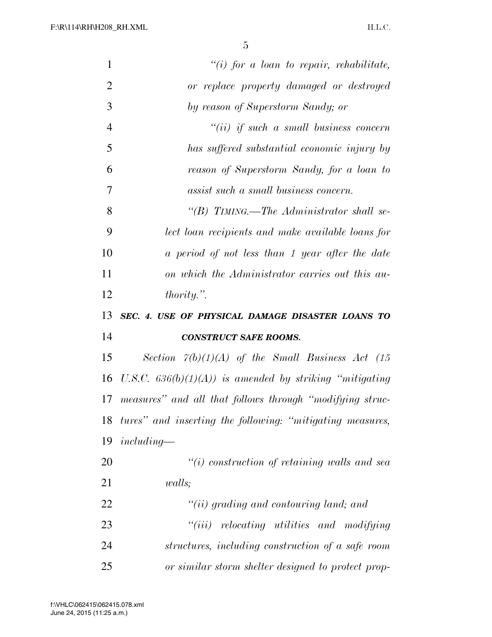| $\mathbf{1}$   | "(i) for a loan to repair, rehabilitate,                         |
|----------------|------------------------------------------------------------------|
| $\overline{2}$ | or replace property damaged or destroyed                         |
| 3              | by reason of Superstorm Sandy; or                                |
| $\overline{4}$ | $``(ii)$ if such a small business concern                        |
| 5              | has suffered substantial economic injury by                      |
| 6              | reason of Superstorm Sandy, for a loan to                        |
| 7              | assist such a small business concern.                            |
| 8              | "(B) TIMING.—The Administrator shall se-                         |
| 9              | lect loan recipients and make available loans for                |
| 10             | a period of not less than 1 year after the date                  |
| 11             | on which the Administrator carries out this au-                  |
| 12             | $thority.$ ".                                                    |
|                |                                                                  |
| 13             | SEC. 4. USE OF PHYSICAL DAMAGE DISASTER LOANS TO                 |
| 14             | <b>CONSTRUCT SAFE ROOMS.</b>                                     |
| 15             | Section $\tilde{\gamma}(b)(1)(A)$ of the Small Business Act (15) |
| 16             | U.S.C. $636(b)(1)(A)$ is amended by striking "mitigating"        |
| 17             | measures" and all that follows through "modifying struc-         |
| 18             | tures" and inserting the following: "mitigating measures,        |
| 19             | $including-$                                                     |
| 20             | $\lq\lq(i)$ construction of retaining walls and sea              |
| 21             | <i>walls</i> ;                                                   |
| 22             | $``(ii)$ grading and contouring land; and                        |
| 23             | "(iii) relocating utilities and modifying                        |
| 24             | structures, including construction of a safe room                |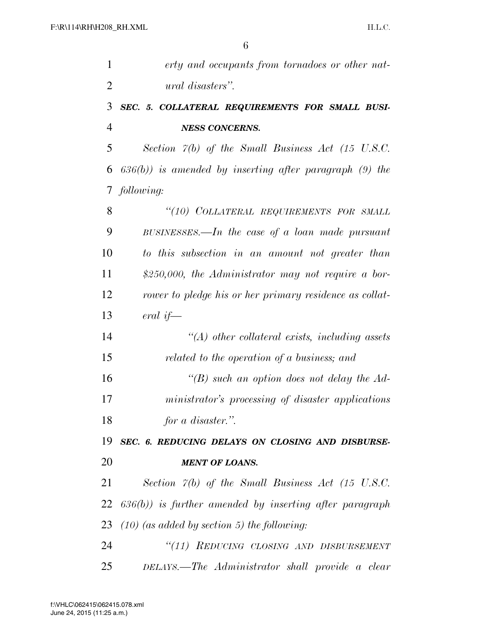| $\mathbf{1}$   | erty and occupants from tornadoes or other nat-                  |
|----------------|------------------------------------------------------------------|
| $\overline{2}$ | ural disasters".                                                 |
| 3              | SEC. 5. COLLATERAL REQUIREMENTS FOR SMALL BUSI-                  |
| $\overline{4}$ | <b>NESS CONCERNS.</b>                                            |
| 5              | Section 7(b) of the Small Business Act (15 U.S.C.                |
| 6              | $(636(b))$ is amended by inserting after paragraph $(9)$ the     |
| 7              | following:                                                       |
| 8              | "(10) COLLATERAL REQUIREMENTS FOR SMALL                          |
| 9              | BUSINESSES.—In the case of a loan made pursuant                  |
| 10             | to this subsection in an amount not greater than                 |
| 11             | \$250,000, the Administrator may not require a bor-              |
| 12             | rower to pledge his or her primary residence as collat-          |
| 13             | eral if—                                                         |
| 14             | $\lq (A)$ other collateral exists, including assets              |
| 15             | related to the operation of a business; and                      |
| 16             | "(B) such an option does not delay the $Ad$ -                    |
| 17             | ministrator's processing of disaster applications                |
| 18             | for a disaster.".                                                |
| 19             | SEC. 6. REDUCING DELAYS ON CLOSING AND DISBURSE-                 |
| 20             | <b>MENT OF LOANS.</b>                                            |
| 21             | Section $\tilde{\gamma}(b)$ of the Small Business Act (15 U.S.C. |
| 22             | $(636(b))$ is further amended by inserting after paragraph       |
| 23             | $(10)$ (as added by section 5) the following:                    |
| 24             | "(11) REDUCING CLOSING AND DISBURSEMENT                          |
| 25             | DELAYS.—The Administrator shall provide a clear                  |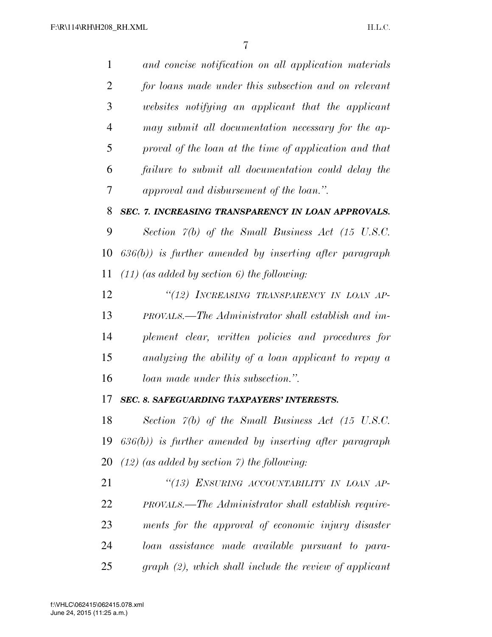*and concise notification on all application materials for loans made under this subsection and on relevant websites notifying an applicant that the applicant may submit all documentation necessary for the ap- proval of the loan at the time of application and that failure to submit all documentation could delay the approval and disbursement of the loan.''. SEC. 7. INCREASING TRANSPARENCY IN LOAN APPROVALS.* 

 *Section 7(b) of the Small Business Act (15 U.S.C. 636(b)) is further amended by inserting after paragraph (11) (as added by section 6) the following:* 

 *''(12) INCREASING TRANSPARENCY IN LOAN AP- PROVALS.—The Administrator shall establish and im- plement clear, written policies and procedures for analyzing the ability of a loan applicant to repay a loan made under this subsection.''.* 

#### *SEC. 8. SAFEGUARDING TAXPAYERS' INTERESTS.*

 *Section 7(b) of the Small Business Act (15 U.S.C. 636(b)) is further amended by inserting after paragraph (12) (as added by section 7) the following:* 

 *''(13) ENSURING ACCOUNTABILITY IN LOAN AP- PROVALS.—The Administrator shall establish require- ments for the approval of economic injury disaster loan assistance made available pursuant to para-graph (2), which shall include the review of applicant*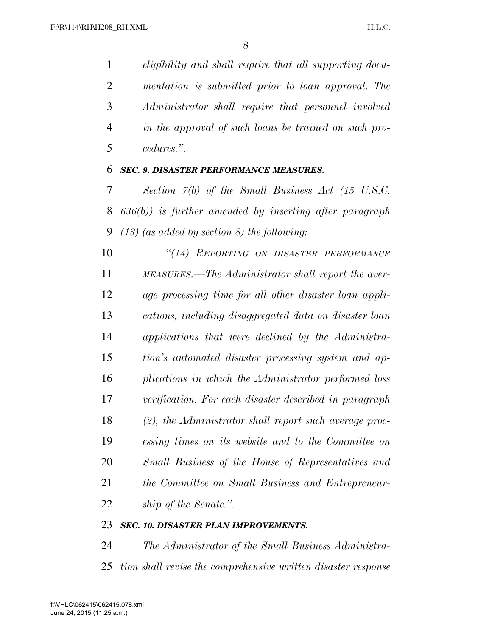*eligibility and shall require that all supporting docu- mentation is submitted prior to loan approval. The Administrator shall require that personnel involved in the approval of such loans be trained on such pro-cedures.''.* 

#### *SEC. 9. DISASTER PERFORMANCE MEASURES.*

 *Section 7(b) of the Small Business Act (15 U.S.C. 636(b)) is further amended by inserting after paragraph (13) (as added by section 8) the following:* 

 *''(14) REPORTING ON DISASTER PERFORMANCE MEASURES.—The Administrator shall report the aver- age processing time for all other disaster loan appli- cations, including disaggregated data on disaster loan applications that were declined by the Administra- tion's automated disaster processing system and ap- plications in which the Administrator performed loss verification. For each disaster described in paragraph (2), the Administrator shall report such average proc- essing times on its website and to the Committee on Small Business of the House of Representatives and the Committee on Small Business and Entrepreneur-ship of the Senate.''.* 

### *SEC. 10. DISASTER PLAN IMPROVEMENTS.*

 *The Administrator of the Small Business Administra-tion shall revise the comprehensive written disaster response*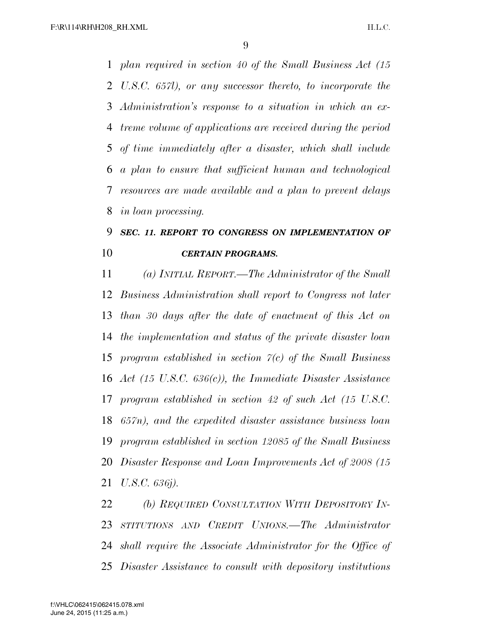*plan required in section 40 of the Small Business Act (15 U.S.C. 657l), or any successor thereto, to incorporate the Administration's response to a situation in which an ex- treme volume of applications are received during the period of time immediately after a disaster, which shall include a plan to ensure that sufficient human and technological resources are made available and a plan to prevent delays in loan processing.* 

### *SEC. 11. REPORT TO CONGRESS ON IMPLEMENTATION OF CERTAIN PROGRAMS.*

 *(a) INITIAL REPORT.—The Administrator of the Small Business Administration shall report to Congress not later than 30 days after the date of enactment of this Act on the implementation and status of the private disaster loan program established in section 7(c) of the Small Business Act (15 U.S.C. 636(c)), the Immediate Disaster Assistance program established in section 42 of such Act (15 U.S.C. 657n), and the expedited disaster assistance business loan program established in section 12085 of the Small Business Disaster Response and Loan Improvements Act of 2008 (15 U.S.C. 636j).* 

 *(b) REQUIRED CONSULTATION WITH DEPOSITORY IN- STITUTIONS AND CREDIT UNIONS.—The Administrator shall require the Associate Administrator for the Office of Disaster Assistance to consult with depository institutions*